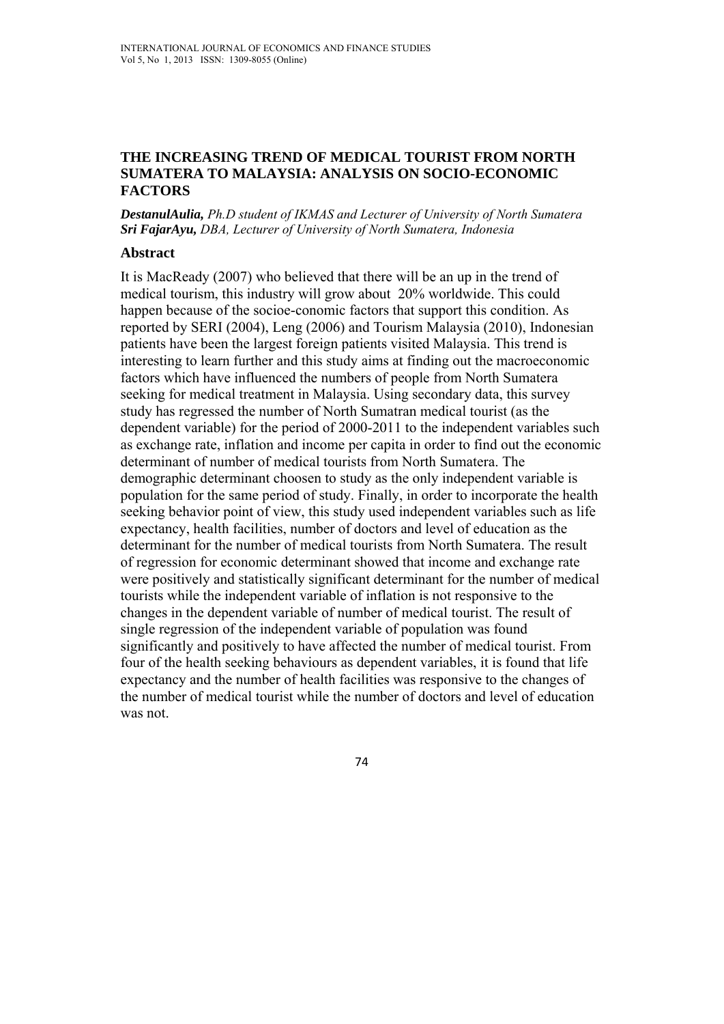#### **THE INCREASING TREND OF MEDICAL TOURIST FROM NORTH SUMATERA TO MALAYSIA: ANALYSIS ON SOCIO-ECONOMIC FACTORS**

*DestanulAulia, Ph.D student of IKMAS and Lecturer of University of North Sumatera Sri FajarAyu, DBA, Lecturer of University of North Sumatera, Indonesia* 

### **Abstract**

It is MacReady (2007) who believed that there will be an up in the trend of medical tourism, this industry will grow about 20% worldwide. This could happen because of the socioe-conomic factors that support this condition. As reported by SERI (2004), Leng (2006) and Tourism Malaysia (2010), Indonesian patients have been the largest foreign patients visited Malaysia. This trend is interesting to learn further and this study aims at finding out the macroeconomic factors which have influenced the numbers of people from North Sumatera seeking for medical treatment in Malaysia. Using secondary data, this survey study has regressed the number of North Sumatran medical tourist (as the dependent variable) for the period of 2000-2011 to the independent variables such as exchange rate, inflation and income per capita in order to find out the economic determinant of number of medical tourists from North Sumatera. The demographic determinant choosen to study as the only independent variable is population for the same period of study. Finally, in order to incorporate the health seeking behavior point of view, this study used independent variables such as life expectancy, health facilities, number of doctors and level of education as the determinant for the number of medical tourists from North Sumatera. The result of regression for economic determinant showed that income and exchange rate were positively and statistically significant determinant for the number of medical tourists while the independent variable of inflation is not responsive to the changes in the dependent variable of number of medical tourist. The result of single regression of the independent variable of population was found significantly and positively to have affected the number of medical tourist. From four of the health seeking behaviours as dependent variables, it is found that life expectancy and the number of health facilities was responsive to the changes of the number of medical tourist while the number of doctors and level of education was not.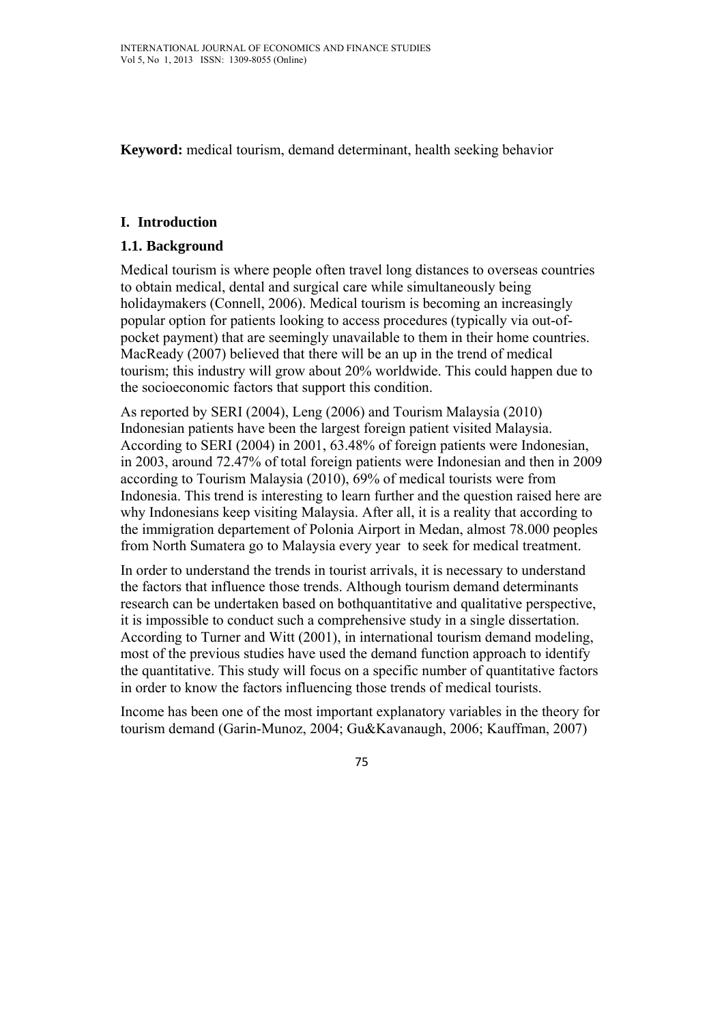**Keyword:** medical tourism, demand determinant, health seeking behavior

#### **I. Introduction**

### **1.1. Background**

Medical tourism is where people often travel long distances to overseas countries to obtain medical, dental and surgical care while simultaneously being holidaymakers (Connell, 2006). Medical tourism is becoming an increasingly popular option for patients looking to access procedures (typically via out-ofpocket payment) that are seemingly unavailable to them in their home countries. MacReady (2007) believed that there will be an up in the trend of medical tourism; this industry will grow about 20% worldwide. This could happen due to the socioeconomic factors that support this condition.

As reported by SERI (2004), Leng (2006) and Tourism Malaysia (2010) Indonesian patients have been the largest foreign patient visited Malaysia. According to SERI (2004) in 2001, 63.48% of foreign patients were Indonesian, in 2003, around 72.47% of total foreign patients were Indonesian and then in 2009 according to Tourism Malaysia (2010), 69% of medical tourists were from Indonesia. This trend is interesting to learn further and the question raised here are why Indonesians keep visiting Malaysia. After all, it is a reality that according to the immigration departement of Polonia Airport in Medan, almost 78.000 peoples from North Sumatera go to Malaysia every year to seek for medical treatment.

In order to understand the trends in tourist arrivals, it is necessary to understand the factors that influence those trends. Although tourism demand determinants research can be undertaken based on bothquantitative and qualitative perspective, it is impossible to conduct such a comprehensive study in a single dissertation. According to Turner and Witt (2001), in international tourism demand modeling, most of the previous studies have used the demand function approach to identify the quantitative. This study will focus on a specific number of quantitative factors in order to know the factors influencing those trends of medical tourists.

Income has been one of the most important explanatory variables in the theory for tourism demand (Garin-Munoz, 2004; Gu&Kavanaugh, 2006; Kauffman, 2007)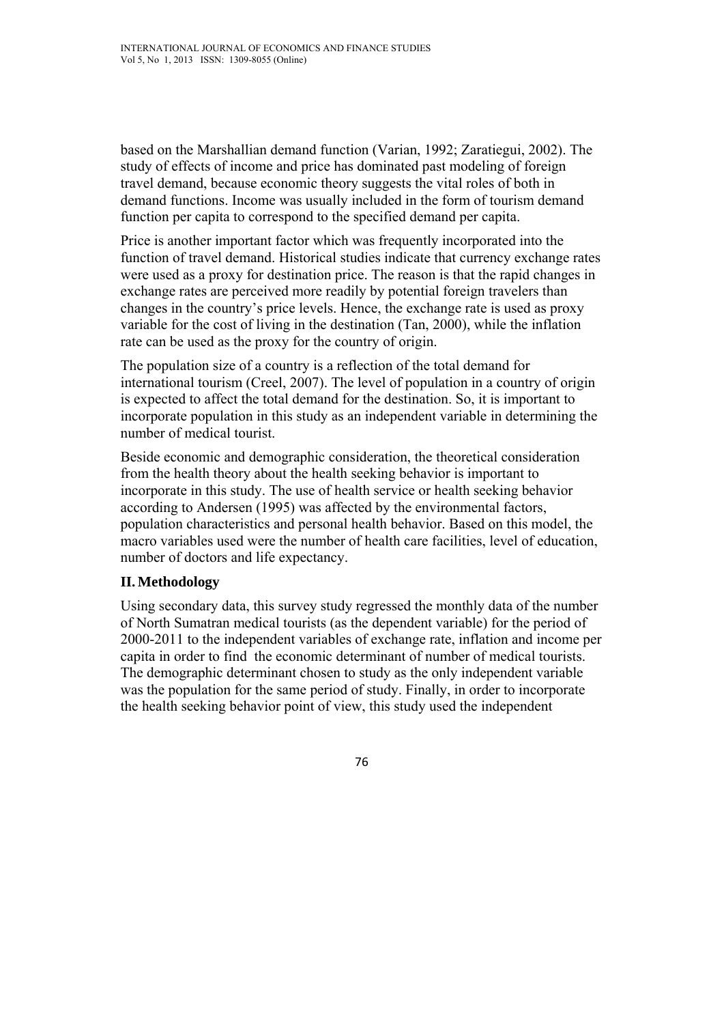based on the Marshallian demand function (Varian, 1992; Zaratiegui, 2002). The study of effects of income and price has dominated past modeling of foreign travel demand, because economic theory suggests the vital roles of both in demand functions. Income was usually included in the form of tourism demand function per capita to correspond to the specified demand per capita.

Price is another important factor which was frequently incorporated into the function of travel demand. Historical studies indicate that currency exchange rates were used as a proxy for destination price. The reason is that the rapid changes in exchange rates are perceived more readily by potential foreign travelers than changes in the country's price levels. Hence, the exchange rate is used as proxy variable for the cost of living in the destination (Tan, 2000), while the inflation rate can be used as the proxy for the country of origin.

The population size of a country is a reflection of the total demand for international tourism (Creel, 2007). The level of population in a country of origin is expected to affect the total demand for the destination. So, it is important to incorporate population in this study as an independent variable in determining the number of medical tourist.

Beside economic and demographic consideration, the theoretical consideration from the health theory about the health seeking behavior is important to incorporate in this study. The use of health service or health seeking behavior according to Andersen (1995) was affected by the environmental factors, population characteristics and personal health behavior. Based on this model, the macro variables used were the number of health care facilities, level of education, number of doctors and life expectancy.

#### **II.Methodology**

Using secondary data, this survey study regressed the monthly data of the number of North Sumatran medical tourists (as the dependent variable) for the period of 2000-2011 to the independent variables of exchange rate, inflation and income per capita in order to find the economic determinant of number of medical tourists. The demographic determinant chosen to study as the only independent variable was the population for the same period of study. Finally, in order to incorporate the health seeking behavior point of view, this study used the independent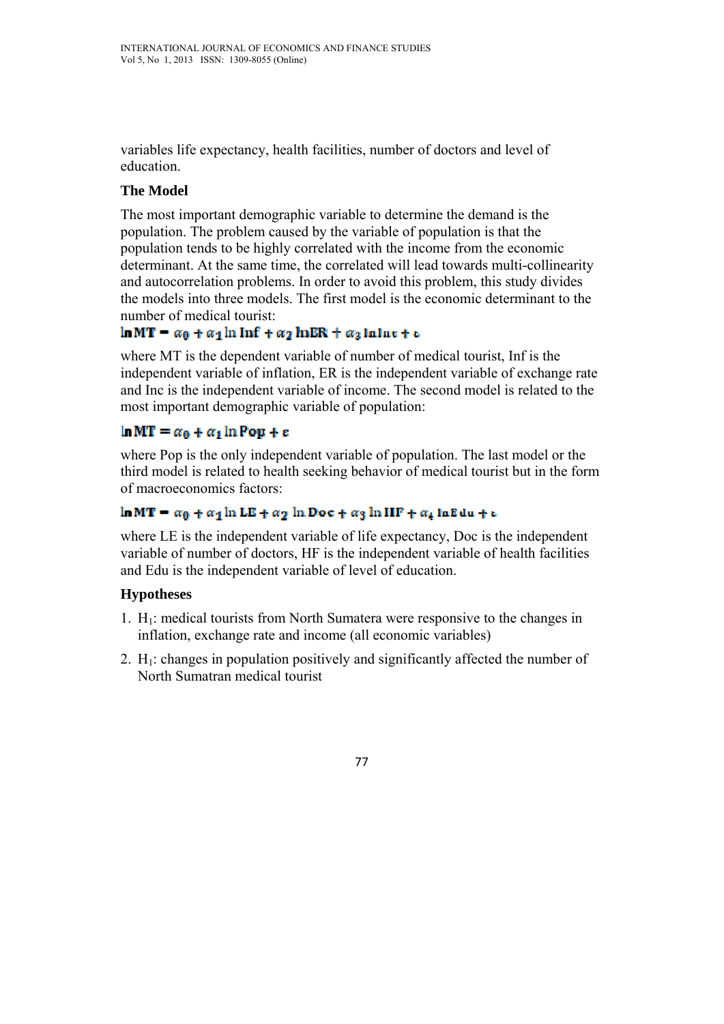variables life expectancy, health facilities, number of doctors and level of education.

### **The Model**

The most important demographic variable to determine the demand is the population. The problem caused by the variable of population is that the population tends to be highly correlated with the income from the economic determinant. At the same time, the correlated will lead towards multi-collinearity and autocorrelation problems. In order to avoid this problem, this study divides the models into three models. The first model is the economic determinant to the number of medical tourist:

## $\ln MT = \alpha_0 + \alpha_1 \ln \ln f + \alpha_2 \ln \ln R + \alpha_3 \ln \ln \epsilon + \epsilon$

where MT is the dependent variable of number of medical tourist, Inf is the independent variable of inflation, ER is the independent variable of exchange rate and Inc is the independent variable of income. The second model is related to the most important demographic variable of population:

# $\ln MT = \alpha_0 + \alpha_1 \ln \text{Pop} + \epsilon$

where Pop is the only independent variable of population. The last model or the third model is related to health seeking behavior of medical tourist but in the form of macroeconomics factors:

### $\ln MT = \alpha_0 + \alpha_1 \ln LE + \alpha_2 \ln Dec + \alpha_3 \ln HF + \alpha_4 \ln E du + \epsilon$

where LE is the independent variable of life expectancy, Doc is the independent variable of number of doctors, HF is the independent variable of health facilities and Edu is the independent variable of level of education.

### **Hypotheses**

- 1.  $H_1$ : medical tourists from North Sumatera were responsive to the changes in inflation, exchange rate and income (all economic variables)
- 2.  $H_1$ : changes in population positively and significantly affected the number of North Sumatran medical tourist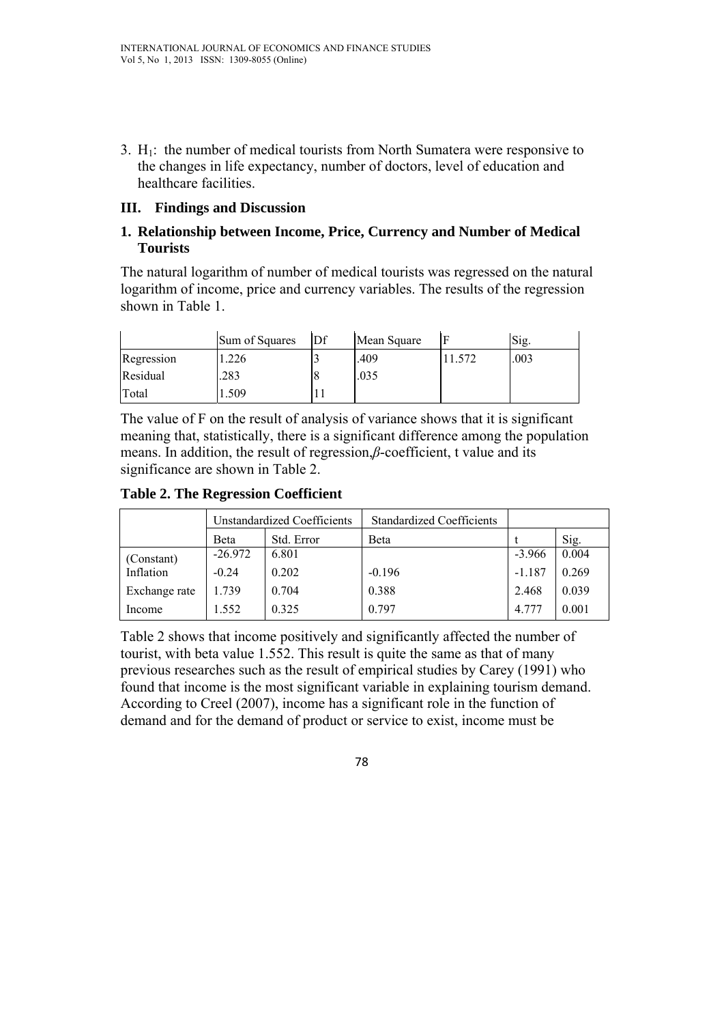3.  $H_1$ : the number of medical tourists from North Sumatera were responsive to the changes in life expectancy, number of doctors, level of education and healthcare facilities.

### **III. Findings and Discussion**

### **1. Relationship between Income, Price, Currency and Number of Medical Tourists**

The natural logarithm of number of medical tourists was regressed on the natural logarithm of income, price and currency variables. The results of the regression shown in Table 1.

|            | Sum of Squares | Df | Mean Square |       | Sig. |
|------------|----------------|----|-------------|-------|------|
| Regression | .226           |    | .409        | 1.572 | .003 |
| Residual   | .283           |    | .035        |       |      |
| Total      | .509           |    |             |       |      |

The value of F on the result of analysis of variance shows that it is significant meaning that, statistically, there is a significant difference among the population means. In addition, the result of regression,*β*-coefficient, t value and its significance are shown in Table 2.

**Table 2. The Regression Coefficient** 

|               | <b>Unstandardized Coefficients</b> |            | <b>Standardized Coefficients</b> |          |       |
|---------------|------------------------------------|------------|----------------------------------|----------|-------|
|               | Beta                               | Std. Error | Beta                             |          | Sig.  |
| (Constant)    | $-26.972$                          | 6.801      |                                  | $-3.966$ | 0.004 |
| Inflation     | $-0.24$                            | 0.202      | $-0.196$                         | $-1.187$ | 0.269 |
| Exchange rate | 1.739                              | 0.704      | 0.388                            | 2.468    | 0.039 |
| Income        | 1.552                              | 0.325      | 0.797                            | 4.777    | 0.001 |

Table 2 shows that income positively and significantly affected the number of tourist, with beta value 1.552. This result is quite the same as that of many previous researches such as the result of empirical studies by Carey (1991) who found that income is the most significant variable in explaining tourism demand. According to Creel (2007), income has a significant role in the function of demand and for the demand of product or service to exist, income must be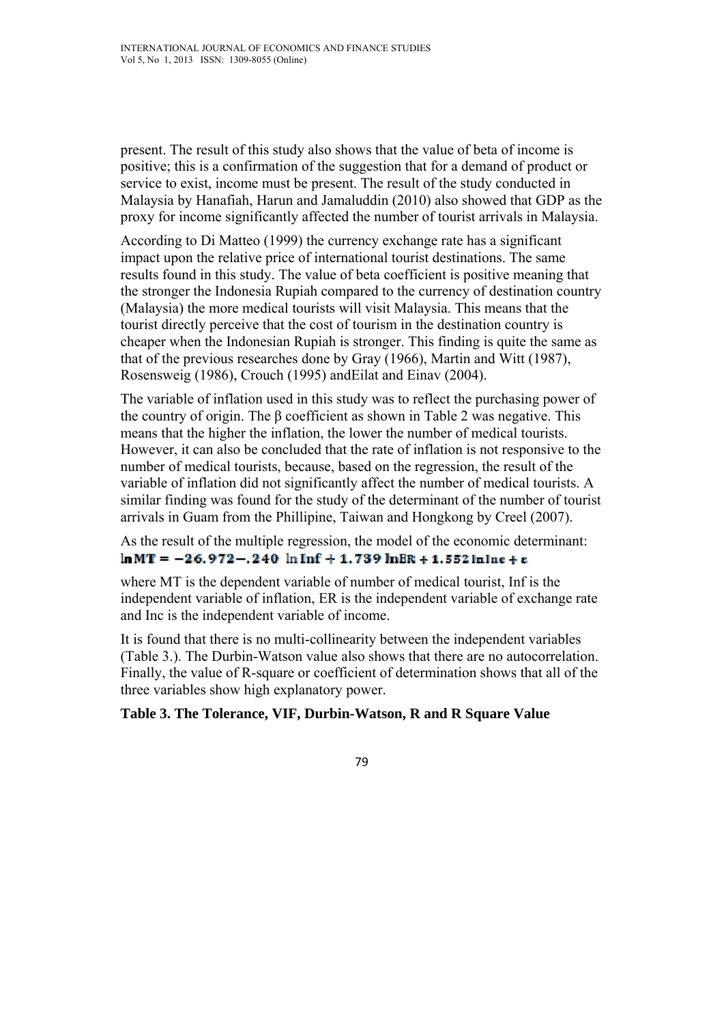present. The result of this study also shows that the value of beta of income is positive; this is a confirmation of the suggestion that for a demand of product or service to exist, income must be present. The result of the study conducted in Malaysia by Hanafiah, Harun and Jamaluddin (2010) also showed that GDP as the proxy for income significantly affected the number of tourist arrivals in Malaysia.

According to Di Matteo (1999) the currency exchange rate has a significant impact upon the relative price of international tourist destinations. The same results found in this study. The value of beta coefficient is positive meaning that the stronger the Indonesia Rupiah compared to the currency of destination country (Malaysia) the more medical tourists will visit Malaysia. This means that the tourist directly perceive that the cost of tourism in the destination country is cheaper when the Indonesian Rupiah is stronger. This finding is quite the same as that of the previous researches done by Gray (1966), Martin and Witt (1987), Rosensweig (1986), Crouch (1995) andEilat and Einav (2004).

The variable of inflation used in this study was to reflect the purchasing power of the country of origin. The β coefficient as shown in Table 2 was negative. This means that the higher the inflation, the lower the number of medical tourists. However, it can also be concluded that the rate of inflation is not responsive to the number of medical tourists, because, based on the regression, the result of the variable of inflation did not significantly affect the number of medical tourists. A similar finding was found for the study of the determinant of the number of tourist arrivals in Guam from the Phillipine, Taiwan and Hongkong by Creel (2007).

As the result of the multiple regression, the model of the economic determinant:  $ln MT = -26.972 - .240 ln Inf + 1.739 ln BR + 1.552 ln ln e + \epsilon$ 

where MT is the dependent variable of number of medical tourist, Inf is the independent variable of inflation, ER is the independent variable of exchange rate and Inc is the independent variable of income.

It is found that there is no multi-collinearity between the independent variables (Table 3.). The Durbin-Watson value also shows that there are no autocorrelation. Finally, the value of R-square or coefficient of determination shows that all of the three variables show high explanatory power.

#### **Table 3. The Tolerance, VIF, Durbin-Watson, R and R Square Value**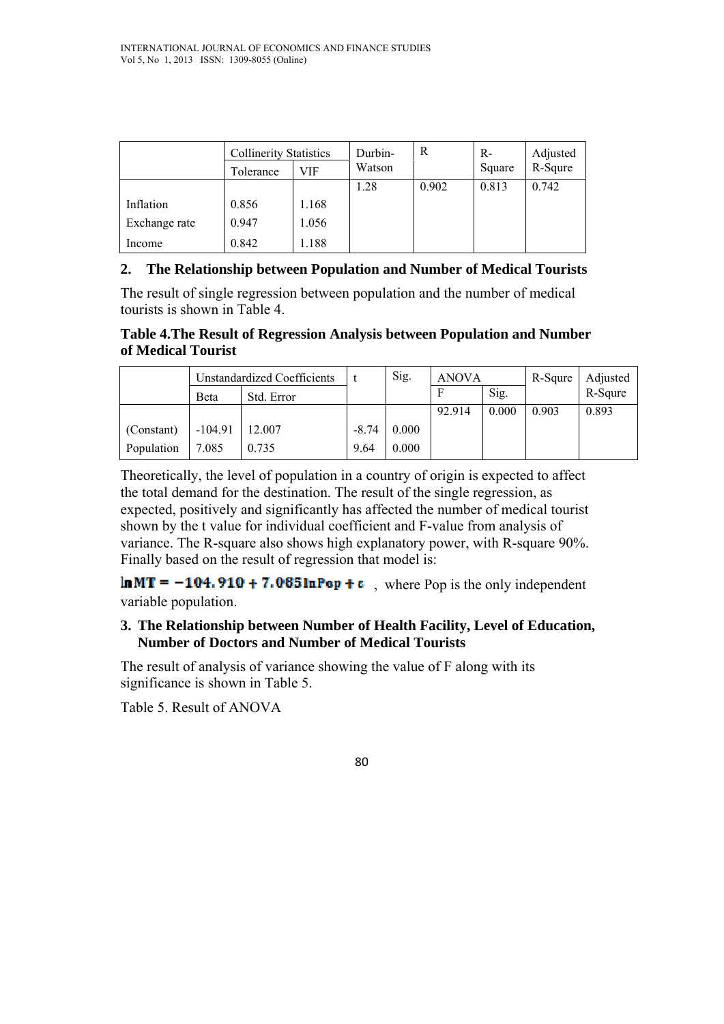|               | <b>Collinerity Statistics</b> |       | Durbin- | R     | $R-$   | Adjusted |
|---------------|-------------------------------|-------|---------|-------|--------|----------|
|               | Tolerance                     | VIF   | Watson  |       | Square | R-Squre  |
|               |                               |       | 1.28    | 0.902 | 0.813  | 0.742    |
| Inflation     | 0.856                         | 1.168 |         |       |        |          |
| Exchange rate | 0.947                         | 1.056 |         |       |        |          |
| Income        | 0.842                         | 1.188 |         |       |        |          |

### **2. The Relationship between Population and Number of Medical Tourists**

The result of single regression between population and the number of medical tourists is shown in Table 4.

#### **Table 4.The Result of Regression Analysis between Population and Number of Medical Tourist**

|            | Unstandardized Coefficients |            |         | Sig.  | <b>ANOVA</b> |       | R-Squre | Adjusted |
|------------|-----------------------------|------------|---------|-------|--------------|-------|---------|----------|
|            | Beta                        | Std. Error |         |       |              | Sig.  |         | R-Squre  |
|            |                             |            |         |       | 92.914       | 0.000 | 0.903   | 0.893    |
| (Constant) | $-104.91$                   | 12.007     | $-8.74$ | 0.000 |              |       |         |          |
| Population | 7.085                       | 0.735      | 9.64    | 0.000 |              |       |         |          |

Theoretically, the level of population in a country of origin is expected to affect the total demand for the destination. The result of the single regression, as expected, positively and significantly has affected the number of medical tourist shown by the t value for individual coefficient and F-value from analysis of variance. The R-square also shows high explanatory power, with R-square 90%. Finally based on the result of regression that model is:

 $\ln MT = -104.910 + 7.085 \ln P_{0} + \epsilon$ , where Pop is the only independent variable population.

### **3. The Relationship between Number of Health Facility, Level of Education, Number of Doctors and Number of Medical Tourists**

The result of analysis of variance showing the value of F along with its significance is shown in Table 5.

Table 5. Result of ANOVA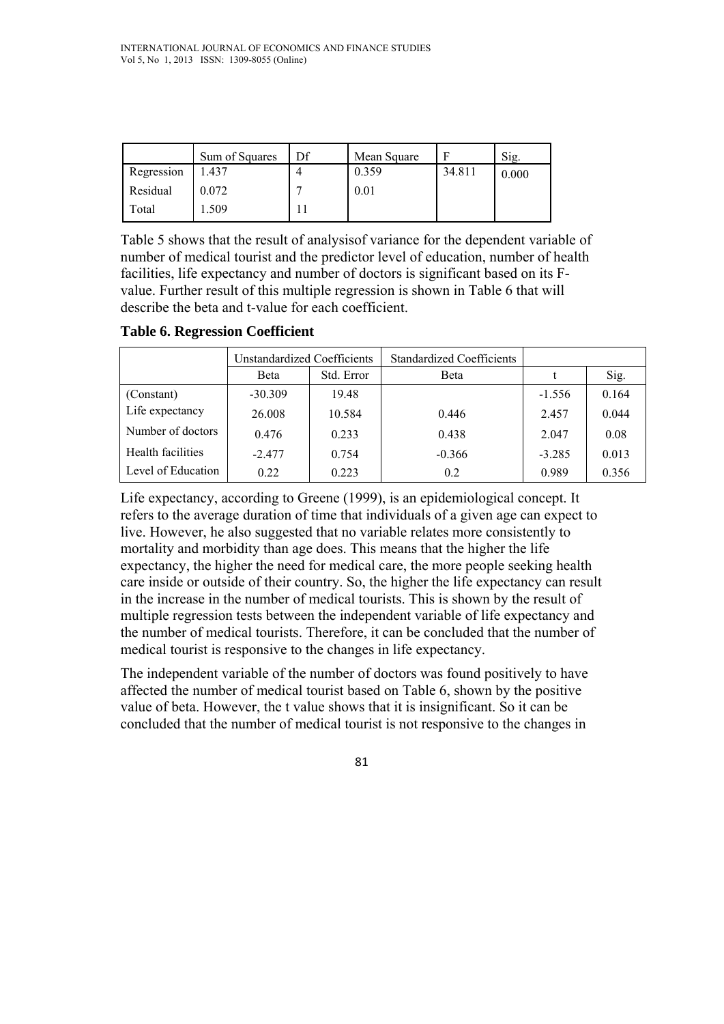|            | Sum of Squares | Df | Mean Square |        | Sig.  |
|------------|----------------|----|-------------|--------|-------|
| Regression | .437           |    | 0.359       | 34.811 | 0.000 |
| Residual   | 0.072          |    | 0.01        |        |       |
| Total      | .509           |    |             |        |       |

Table 5 shows that the result of analysisof variance for the dependent variable of number of medical tourist and the predictor level of education, number of health facilities, life expectancy and number of doctors is significant based on its Fvalue. Further result of this multiple regression is shown in Table 6 that will describe the beta and t-value for each coefficient.

#### **Table 6. Regression Coefficient**

|                    | Unstandardized Coefficients |            | <b>Standardized Coefficients</b> |          |       |
|--------------------|-----------------------------|------------|----------------------------------|----------|-------|
|                    | Beta                        | Std. Error | <b>B</b> eta                     |          | Sig.  |
| (Constant)         | $-30.309$                   | 19.48      |                                  | $-1.556$ | 0.164 |
| Life expectancy    | 26,008                      | 10.584     | 0.446                            | 2.457    | 0.044 |
| Number of doctors  | 0.476                       | 0.233      | 0.438                            | 2.047    | 0.08  |
| Health facilities  | $-2.477$                    | 0.754      | $-0.366$                         | $-3.285$ | 0.013 |
| Level of Education | 0.22                        | 0.223      | 0.2                              | 0.989    | 0.356 |

Life expectancy, according to Greene (1999), is an epidemiological concept. It refers to the average duration of time that individuals of a given age can expect to live. However, he also suggested that no variable relates more consistently to mortality and morbidity than age does. This means that the higher the life expectancy, the higher the need for medical care, the more people seeking health care inside or outside of their country. So, the higher the life expectancy can result in the increase in the number of medical tourists. This is shown by the result of multiple regression tests between the independent variable of life expectancy and the number of medical tourists. Therefore, it can be concluded that the number of medical tourist is responsive to the changes in life expectancy.

The independent variable of the number of doctors was found positively to have affected the number of medical tourist based on Table 6, shown by the positive value of beta. However, the t value shows that it is insignificant. So it can be concluded that the number of medical tourist is not responsive to the changes in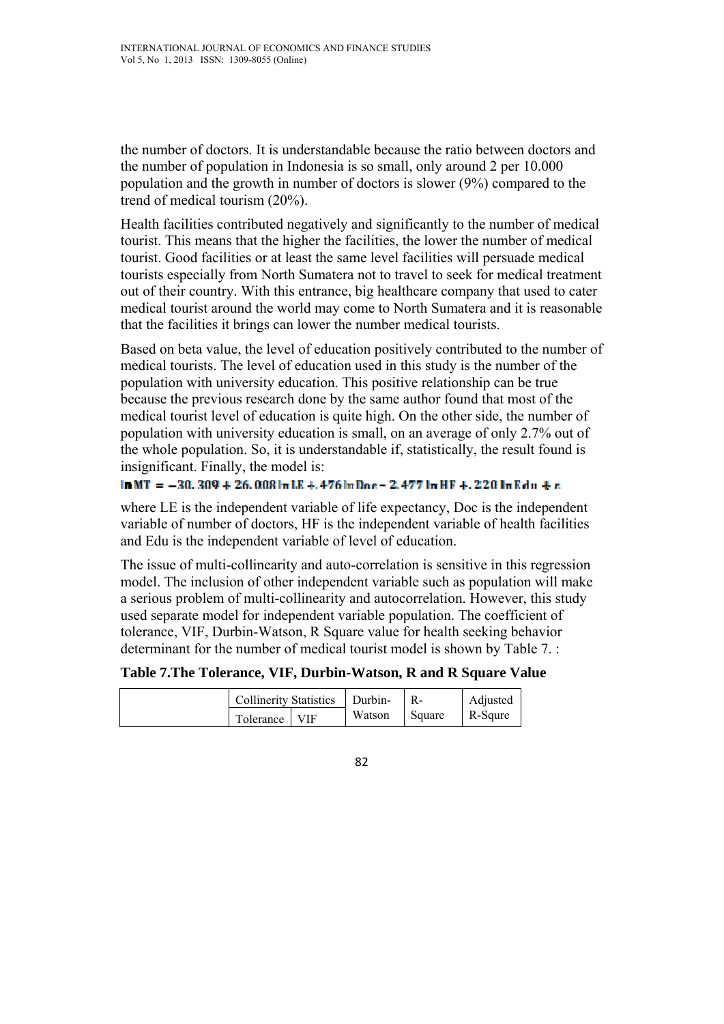the number of doctors. It is understandable because the ratio between doctors and the number of population in Indonesia is so small, only around 2 per 10.000 population and the growth in number of doctors is slower (9%) compared to the trend of medical tourism (20%).

Health facilities contributed negatively and significantly to the number of medical tourist. This means that the higher the facilities, the lower the number of medical tourist. Good facilities or at least the same level facilities will persuade medical tourists especially from North Sumatera not to travel to seek for medical treatment out of their country. With this entrance, big healthcare company that used to cater medical tourist around the world may come to North Sumatera and it is reasonable that the facilities it brings can lower the number medical tourists.

Based on beta value, the level of education positively contributed to the number of medical tourists. The level of education used in this study is the number of the population with university education. This positive relationship can be true because the previous research done by the same author found that most of the medical tourist level of education is quite high. On the other side, the number of population with university education is small, on an average of only 2.7% out of the whole population. So, it is understandable if, statistically, the result found is insignificant. Finally, the model is:

```
Im MT = -30.309 + 26.008Im LR + 476Im Dae - 2.477Im HF + 220Im Edu + e
```
where LE is the independent variable of life expectancy, Doc is the independent variable of number of doctors, HF is the independent variable of health facilities and Edu is the independent variable of level of education.

The issue of multi-collinearity and auto-correlation is sensitive in this regression model. The inclusion of other independent variable such as population will make a serious problem of multi-collinearity and autocorrelation. However, this study used separate model for independent variable population. The coefficient of tolerance, VIF, Durbin-Watson, R Square value for health seeking behavior determinant for the number of medical tourist model is shown by Table 7. :

**Table 7.The Tolerance, VIF, Durbin-Watson, R and R Square Value**

| Collinerity Statistics   Durbin- |  |        |        | Adjusted |
|----------------------------------|--|--------|--------|----------|
| Tolerance   VIF                  |  | Watson | Square | R-Squre  |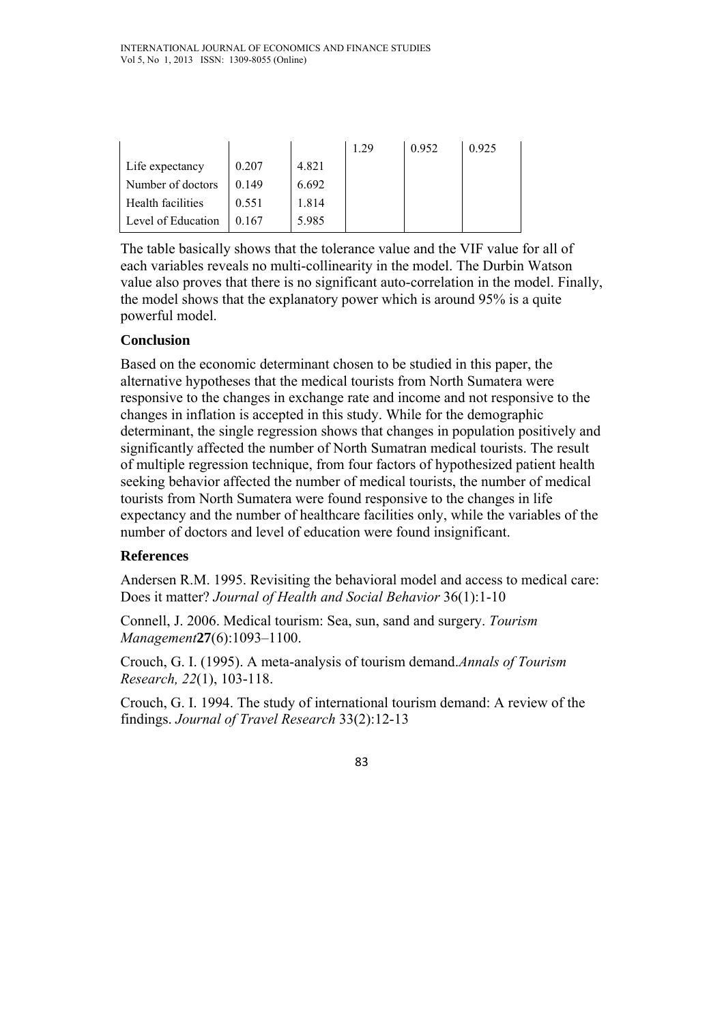|                    |       |       | 1 29 | 0.952 | 0.925 |
|--------------------|-------|-------|------|-------|-------|
| Life expectancy    | 0.207 | 4.821 |      |       |       |
| Number of doctors  | 0.149 | 6.692 |      |       |       |
| Health facilities  | 0.551 | 1.814 |      |       |       |
| Level of Education | 0.167 | 5.985 |      |       |       |

The table basically shows that the tolerance value and the VIF value for all of each variables reveals no multi-collinearity in the model. The Durbin Watson value also proves that there is no significant auto-correlation in the model. Finally, the model shows that the explanatory power which is around 95% is a quite powerful model.

## **Conclusion**

Based on the economic determinant chosen to be studied in this paper, the alternative hypotheses that the medical tourists from North Sumatera were responsive to the changes in exchange rate and income and not responsive to the changes in inflation is accepted in this study. While for the demographic determinant, the single regression shows that changes in population positively and significantly affected the number of North Sumatran medical tourists. The result of multiple regression technique, from four factors of hypothesized patient health seeking behavior affected the number of medical tourists, the number of medical tourists from North Sumatera were found responsive to the changes in life expectancy and the number of healthcare facilities only, while the variables of the number of doctors and level of education were found insignificant.

### **References**

Andersen R.M. 1995. Revisiting the behavioral model and access to medical care: Does it matter? *Journal of Health and Social Behavior* 36(1):1-10

Connell, J. 2006. Medical tourism: Sea, sun, sand and surgery. *Tourism Management***27**(6):1093–1100.

Crouch, G. I. (1995). A meta-analysis of tourism demand.*Annals of Tourism Research, 22*(1), 103-118.

Crouch, G. I. 1994. The study of international tourism demand: A review of the findings. *Journal of Travel Research* 33(2):12-13